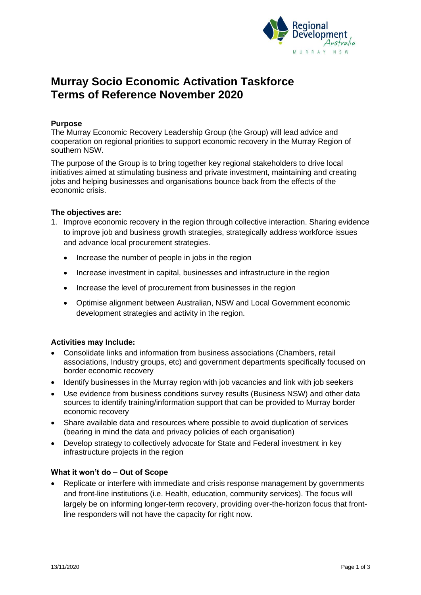

# **Murray Socio Economic Activation Taskforce Terms of Reference November 2020**

## **Purpose**

The Murray Economic Recovery Leadership Group (the Group) will lead advice and cooperation on regional priorities to support economic recovery in the Murray Region of southern NSW.

The purpose of the Group is to bring together key regional stakeholders to drive local initiatives aimed at stimulating business and private investment, maintaining and creating jobs and helping businesses and organisations bounce back from the effects of the economic crisis.

#### **The objectives are:**

- 1. Improve economic recovery in the region through collective interaction. Sharing evidence to improve job and business growth strategies, strategically address workforce issues and advance local procurement strategies.
	- Increase the number of people in jobs in the region
	- Increase investment in capital, businesses and infrastructure in the region
	- Increase the level of procurement from businesses in the region
	- Optimise alignment between Australian, NSW and Local Government economic development strategies and activity in the region.

### **Activities may Include:**

- Consolidate links and information from business associations (Chambers, retail associations, Industry groups, etc) and government departments specifically focused on border economic recovery
- Identify businesses in the Murray region with job vacancies and link with job seekers
- Use evidence from business conditions survey results (Business NSW) and other data sources to identify training/information support that can be provided to Murray border economic recovery
- Share available data and resources where possible to avoid duplication of services (bearing in mind the data and privacy policies of each organisation)
- Develop strategy to collectively advocate for State and Federal investment in key infrastructure projects in the region

#### **What it won't do – Out of Scope**

• Replicate or interfere with immediate and crisis response management by governments and front-line institutions (i.e. Health, education, community services). The focus will largely be on informing longer-term recovery, providing over-the-horizon focus that frontline responders will not have the capacity for right now.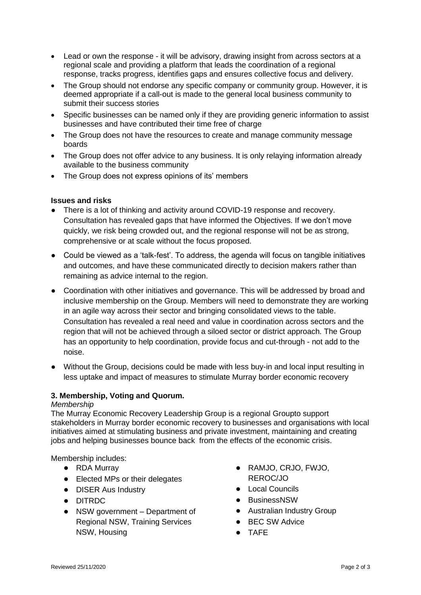- Lead or own the response it will be advisory, drawing insight from across sectors at a regional scale and providing a platform that leads the coordination of a regional response, tracks progress, identifies gaps and ensures collective focus and delivery.
- The Group should not endorse any specific company or community group. However, it is deemed appropriate if a call-out is made to the general local business community to submit their success stories
- Specific businesses can be named only if they are providing generic information to assist businesses and have contributed their time free of charge
- The Group does not have the resources to create and manage community message boards
- The Group does not offer advice to any business. It is only relaying information already available to the business community
- The Group does not express opinions of its' members

### **Issues and risks**

- There is a lot of thinking and activity around COVID-19 response and recovery. Consultation has revealed gaps that have informed the Objectives. If we don't move quickly, we risk being crowded out, and the regional response will not be as strong, comprehensive or at scale without the focus proposed.
- Could be viewed as a 'talk-fest'. To address, the agenda will focus on tangible initiatives and outcomes, and have these communicated directly to decision makers rather than remaining as advice internal to the region.
- Coordination with other initiatives and governance. This will be addressed by broad and inclusive membership on the Group. Members will need to demonstrate they are working in an agile way across their sector and bringing consolidated views to the table. Consultation has revealed a real need and value in coordination across sectors and the region that will not be achieved through a siloed sector or district approach. The Group has an opportunity to help coordination, provide focus and cut-through - not add to the noise.
- Without the Group, decisions could be made with less buy-in and local input resulting in less uptake and impact of measures to stimulate Murray border economic recovery

# **3. Membership, Voting and Quorum.**

### *Membership*

The Murray Economic Recovery Leadership Group is a regional Groupto support stakeholders in Murray border economic recovery to businesses and organisations with local initiatives aimed at stimulating business and private investment, maintaining and creating jobs and helping businesses bounce back from the effects of the economic crisis.

Membership includes:

- RDA Murrav
- Elected MPs or their delegates
- **DISER Aus Industry**
- DITRDC
- NSW government Department of Regional NSW, Training Services NSW, Housing
- RAMJO, CRJO, FWJO, REROC/JO
- Local Councils
- BusinessNSW
- Australian Industry Group
- BEC SW Advice
- TAFE